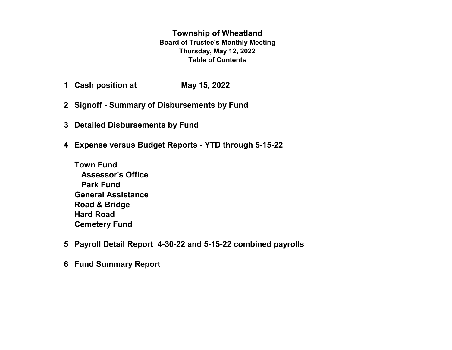**Township of Wheatland Board of Trustee's Monthly Meeting Thursday, May 12, 2022 Table of Contents**

- **1 Cash position at May 15, 2022**
- **2 Signoff Summary of Disbursements by Fund**
- **3 Detailed Disbursements by Fund**
- **4 Expense versus Budget Reports YTD through 5-15-22**
	- **Town Fund Assessor's Office Park Fund General Assistance Road & Bridge Hard Road Cemetery Fund**
- **5 Payroll Detail Report 4-30-22 and 5-15-22 combined payrolls**
- **6 Fund Summary Report**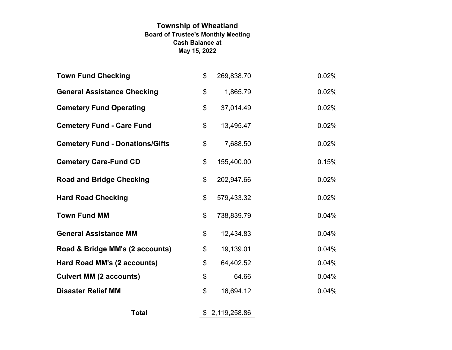# **Township of Wheatland Board of Trustee's Monthly Meeting May 15, 2022 Cash Balance at**

| <b>Town Fund Checking</b>              | \$<br>269,838.70 | 0.02% |
|----------------------------------------|------------------|-------|
| <b>General Assistance Checking</b>     | \$<br>1,865.79   | 0.02% |
| <b>Cemetery Fund Operating</b>         | \$<br>37,014.49  | 0.02% |
| <b>Cemetery Fund - Care Fund</b>       | \$<br>13,495.47  | 0.02% |
| <b>Cemetery Fund - Donations/Gifts</b> | \$<br>7,688.50   | 0.02% |
| <b>Cemetery Care-Fund CD</b>           | \$<br>155,400.00 | 0.15% |
| <b>Road and Bridge Checking</b>        | \$<br>202,947.66 | 0.02% |
| <b>Hard Road Checking</b>              | \$<br>579,433.32 | 0.02% |
| <b>Town Fund MM</b>                    | \$<br>738,839.79 | 0.04% |
| <b>General Assistance MM</b>           | \$<br>12,434.83  | 0.04% |
| Road & Bridge MM's (2 accounts)        | \$<br>19,139.01  | 0.04% |
| Hard Road MM's (2 accounts)            | \$<br>64,402.52  | 0.04% |
| <b>Culvert MM (2 accounts)</b>         | \$<br>64.66      | 0.04% |
| <b>Disaster Relief MM</b>              | \$<br>16,694.12  | 0.04% |
| <b>Total</b>                           | \$2,119,258.86   |       |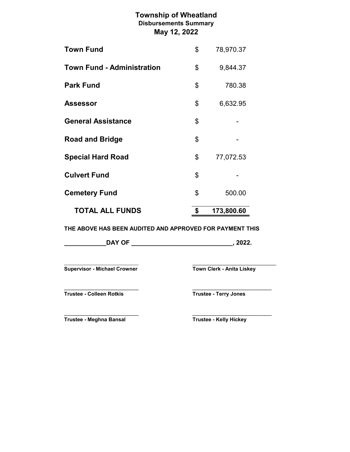# **Township of Wheatland May 12, 2022 Disbursements Summary**

| <b>TOTAL ALL FUNDS</b>            | \$<br>173,800.60 |
|-----------------------------------|------------------|
| <b>Cemetery Fund</b>              | \$<br>500.00     |
| <b>Culvert Fund</b>               | \$               |
| <b>Special Hard Road</b>          | \$<br>77,072.53  |
| <b>Road and Bridge</b>            | \$               |
| <b>General Assistance</b>         | \$               |
| <b>Assessor</b>                   | \$<br>6,632.95   |
| <b>Park Fund</b>                  | \$<br>780.38     |
| <b>Town Fund - Administration</b> | \$<br>9,844.37   |
| <b>Town Fund</b>                  | \$<br>78,970.37  |

**THE ABOVE HAS BEEN AUDITED AND APPROVED FOR PAYMENT THIS**

| <b>DAY OF</b> | nnnr |
|---------------|------|
|---------------|------|

\_\_\_\_\_\_\_\_\_\_\_\_\_\_\_\_\_\_\_\_\_\_\_\_\_\_\_\_\_\_\_\_ \_\_\_\_\_\_\_\_\_\_\_\_\_\_\_\_\_\_\_\_\_\_\_\_\_\_\_\_\_ **Supervisor - Michael Crowner Town Clerk - Anita Liskey** 

**Trustee - Colleen Rotkis Trustee - Terry Jones**

**\_\_\_\_\_\_\_\_\_\_\_\_\_\_\_\_\_\_\_\_\_\_\_\_\_\_\_\_\_\_\_\_ \_\_\_\_\_\_\_\_\_\_\_\_\_\_\_\_\_\_\_\_\_\_\_\_\_\_\_\_\_\_\_\_\_\_**

**Trustee - Meghna Bansal Trustee - Kelly Hickey**

**\_\_\_\_\_\_\_\_\_\_\_\_\_\_\_\_\_\_\_\_\_\_\_\_\_\_\_\_\_\_\_\_ \_\_\_\_\_\_\_\_\_\_\_\_\_\_\_\_\_\_\_\_\_\_\_\_\_\_\_\_\_\_\_\_\_\_**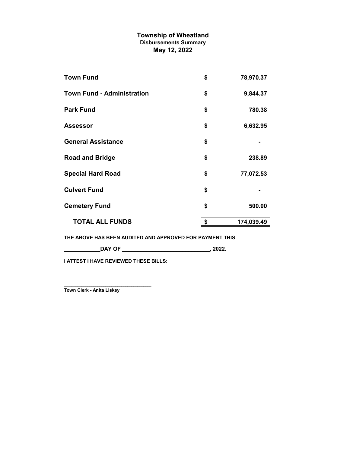# **Township of Wheatland May 12, 2022 Disbursements Summary**

| <b>Town Fund</b>                  | \$<br>78,970.37  |
|-----------------------------------|------------------|
| <b>Town Fund - Administration</b> | \$<br>9,844.37   |
| <b>Park Fund</b>                  | \$<br>780.38     |
| <b>Assessor</b>                   | \$<br>6,632.95   |
| <b>General Assistance</b>         | \$               |
| <b>Road and Bridge</b>            | \$<br>238.89     |
| <b>Special Hard Road</b>          | \$<br>77,072.53  |
| <b>Culvert Fund</b>               | \$               |
| <b>Cemetery Fund</b>              | \$<br>500.00     |
| <b>TOTAL ALL FUNDS</b>            | \$<br>174,039.49 |
|                                   |                  |

**THE ABOVE HAS BEEN AUDITED AND APPROVED FOR PAYMENT THIS**

**\_\_\_\_\_\_\_\_\_\_\_\_DAY OF \_\_\_\_\_\_\_\_\_\_\_\_\_\_\_\_\_\_\_\_\_\_\_\_\_\_\_\_\_, 2022.**

**I ATTEST I HAVE REVIEWED THESE BILLS:**

\_\_\_\_\_\_\_\_\_\_\_\_\_\_\_\_\_\_\_\_\_\_\_\_\_\_\_\_\_\_\_\_\_\_\_\_\_\_\_\_\_\_\_\_ **Town Clerk - Anita Liskey**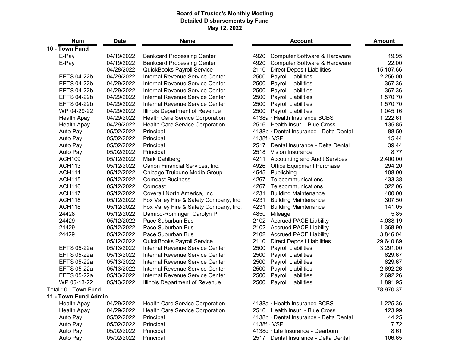#### **Board of Trustee's Monthly Meeting Detailed Disbursements by Fund May 12, 2022**

| <b>Num</b>           | <b>Date</b> | <b>Name</b>                            | <b>Account</b>                          | <b>Amount</b> |
|----------------------|-------------|----------------------------------------|-----------------------------------------|---------------|
| 10 - Town Fund       |             |                                        |                                         |               |
| E-Pay                | 04/19/2022  | <b>Bankcard Processing Center</b>      | 4920 Computer Software & Hardware       | 19.95         |
| E-Pay                | 04/19/2022  | <b>Bankcard Processing Center</b>      | 4920 Computer Software & Hardware       | 22.00         |
|                      | 04/28/2022  | <b>QuickBooks Payroll Service</b>      | 2110 Direct Deposit Liabilities         | 15,107.66     |
| <b>EFTS 04-22b</b>   | 04/29/2022  | <b>Internal Revenue Service Center</b> | 2500 · Payroll Liabilities              | 2,256.00      |
| <b>EFTS 04-22b</b>   | 04/29/2022  | <b>Internal Revenue Service Center</b> | 2500 Payroll Liabilities                | 367.36        |
| <b>EFTS 04-22b</b>   | 04/29/2022  | <b>Internal Revenue Service Center</b> | 2500 Payroll Liabilities                | 367.36        |
| <b>EFTS 04-22b</b>   | 04/29/2022  | Internal Revenue Service Center        | 2500 Payroll Liabilities                | 1,570.70      |
| <b>EFTS 04-22b</b>   | 04/29/2022  | Internal Revenue Service Center        | 2500 Payroll Liabilities                | 1,570.70      |
| WP 04-29-22          | 04/29/2022  | Illinois Department of Revenue         | 2500 · Payroll Liabilities              | 1,045.16      |
| <b>Health Apay</b>   | 04/29/2022  | <b>Health Care Service Corporation</b> | 4138a Health Insurance BCBS             | 1,222.61      |
| <b>Health Apay</b>   | 04/29/2022  | <b>Health Care Service Corporation</b> | 2516 · Health Insur. - Blue Cross       | 135.85        |
| Auto Pay             | 05/02/2022  | Principal                              | 4138b Dental Insurance - Delta Dental   | 88.50         |
| Auto Pay             | 05/02/2022  | Principal                              | $4138f \cdot VSP$                       | 15.44         |
| Auto Pay             | 05/02/2022  | Principal                              | 2517 · Dental Insurance - Delta Dental  | 39.44         |
| Auto Pay             | 05/02/2022  | Principal                              | 2518 Vision Insurance                   | 8.77          |
| <b>ACH109</b>        | 05/12/2022  | Mark Dahlberg                          | 4211 Accounting and Audit Services      | 2,400.00      |
| <b>ACH113</b>        | 05/12/2022  | Canon Financial Services, Inc.         | 4926 Office Equipment Purchase          | 294.20        |
| <b>ACH114</b>        | 05/12/2022  | Chicago Truibune Media Group           | $4545 \cdot$ Publishing                 | 108.00        |
| <b>ACH115</b>        | 05/12/2022  | <b>Comcast Business</b>                | 4267 · Telecommunications               | 433.38        |
| <b>ACH116</b>        | 05/12/2022  | Comcast                                | 4267 Telecommunications                 | 322.06        |
| <b>ACH117</b>        | 05/12/2022  | Coverall North America, Inc.           | 4231 Building Maintenance               | 400.00        |
| <b>ACH118</b>        | 05/12/2022  | Fox Valley Fire & Safety Company, Inc. | $4231 -$<br><b>Building Maintenance</b> | 307.50        |
| <b>ACH118</b>        | 05/12/2022  | Fox Valley Fire & Safety Company, Inc. | $4231 -$<br><b>Building Maintenance</b> | 141.05        |
| 24428                | 05/12/2022  | Damico-Rominger, Carolyn P             | 4850 Mileage                            | 5.85          |
| 24429                | 05/12/2022  | Pace Suburban Bus                      | 2102 Accrued PACE Liability             | 4,038.19      |
| 24429                | 05/12/2022  | Pace Suburban Bus                      | 2102 Accrued PACE Liability             | 1,368.90      |
| 24429                | 05/12/2022  | Pace Suburban Bus                      | 2102 Accrued PACE Liability             | 3,846.04      |
|                      | 05/12/2022  | <b>QuickBooks Payroll Service</b>      | 2110 Direct Deposit Liabilities         | 29,640.89     |
| <b>EFTS 05-22a</b>   | 05/13/2022  | <b>Internal Revenue Service Center</b> | 2500 Payroll Liabilities                | 3,291.00      |
| <b>EFTS 05-22a</b>   | 05/13/2022  | <b>Internal Revenue Service Center</b> | 2500 Payroll Liabilities                | 629.67        |
| <b>EFTS 05-22a</b>   | 05/13/2022  | Internal Revenue Service Center        | 2500 · Payroll Liabilities              | 629.67        |
| <b>EFTS 05-22a</b>   | 05/13/2022  | <b>Internal Revenue Service Center</b> | 2500 Payroll Liabilities                | 2,692.26      |
| <b>EFTS 05-22a</b>   | 05/13/2022  | Internal Revenue Service Center        | 2500 · Payroll Liabilities              | 2,692.26      |
| WP 05-13-22          | 05/13/2022  | Illinois Department of Revenue         | 2500 Payroll Liabilities                | 1,891.95      |
| Total 10 - Town Fund |             |                                        |                                         | 78,970.37     |
| 11 - Town Fund Admin |             |                                        |                                         |               |
| <b>Health Apay</b>   | 04/29/2022  | <b>Health Care Service Corporation</b> | 4138a Health Insurance BCBS             | 1,225.36      |
| <b>Health Apay</b>   | 04/29/2022  | <b>Health Care Service Corporation</b> | 2516 · Health Insur. - Blue Cross       | 123.99        |
| Auto Pay             | 05/02/2022  | Principal                              | 4138b · Dental Insurance - Delta Dental | 44.25         |
| Auto Pay             | 05/02/2022  | Principal                              | $4138f \cdot VSP$                       | 7.72          |
| Auto Pay             | 05/02/2022  | Principal                              | 4138d · Life Insurance - Dearborn       | 8.61          |
| Auto Pay             | 05/02/2022  | Principal                              | 2517 Dental Insurance - Delta Dental    | 106.65        |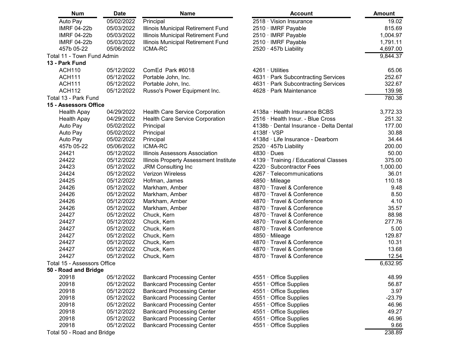| <b>Num</b>                         | <b>Date</b> | <b>Name</b>                                   | <b>Account</b>                          | <b>Amount</b> |
|------------------------------------|-------------|-----------------------------------------------|-----------------------------------------|---------------|
| Auto Pay                           | 05/02/2022  | Principal                                     | 2518 Vision Insurance                   | 19.02         |
| <b>IMRF 04-22b</b>                 | 05/03/2022  | <b>Illinois Municipal Retirement Fund</b>     | 2510 · IMRF Payable                     | 815.69        |
| <b>IMRF 04-22b</b>                 | 05/03/2022  | <b>Illinois Municipal Retirement Fund</b>     | 2510 · IMRF Payable                     | 1,004.97      |
| <b>IMRF 04-22b</b>                 | 05/03/2022  | <b>Illinois Municipal Retirement Fund</b>     | 2510 · IMRF Payable                     | 1,791.11      |
| 457b 05-22                         | 05/06/2022  | <b>ICMA-RC</b>                                | 2520 457b Liability                     | 4,697.00      |
| Total 11 - Town Fund Admin         |             |                                               |                                         | 9,844.37      |
| 13 - Park Fund                     |             |                                               |                                         |               |
| <b>ACH110</b>                      | 05/12/2022  | ComEd Park #6018                              | 4261 Utilities                          | 65.06         |
| <b>ACH111</b>                      | 05/12/2022  | Portable John, Inc.                           | 4631 Park Subcontracting Services       | 252.67        |
| <b>ACH111</b>                      | 05/12/2022  | Portable John, Inc.                           | 4631 Park Subcontracting Services       | 322.67        |
| <b>ACH112</b>                      | 05/12/2022  | Russo's Power Equipment Inc.                  | 4628 Park Maintenance                   | 139.98        |
| Total 13 - Park Fund               |             |                                               |                                         | 780.38        |
| 15 - Assessors Office              |             |                                               |                                         |               |
| <b>Health Apay</b>                 | 04/29/2022  | <b>Health Care Service Corporation</b>        | 4138a Health Insurance BCBS             | 3,772.33      |
| <b>Health Apay</b>                 | 04/29/2022  | <b>Health Care Service Corporation</b>        | 2516 Health Insur. - Blue Cross         | 251.32        |
| Auto Pay                           | 05/02/2022  | Principal                                     | 4138b · Dental Insurance - Delta Dental | 177.00        |
| Auto Pay                           | 05/02/2022  | Principal                                     | $4138f \cdot VSP$                       | 30.88         |
| Auto Pay                           | 05/02/2022  | Principal                                     | 4138d Life Insurance - Dearborn         | 34.44         |
| 457b 05-22                         | 05/06/2022  | <b>ICMA-RC</b>                                | 2520 · 457b Liability                   | 200.00        |
| 24421                              | 05/12/2022  | <b>Illinois Assessors Association</b>         | $4830 \cdot$ Dues                       | 50.00         |
| 24422                              | 05/12/2022  | <b>Illinois Property Assessment Institute</b> | 4139 Training / Educational Classes     | 375.00        |
| 24423                              | 05/12/2022  | <b>JRM Consulting Inc.</b>                    | 4220 Subcontractor Fees                 | 1,000.00      |
| 24424                              | 05/12/2022  | <b>Verizon Wireless</b>                       | 4267 Telecommunications                 | 36.01         |
| 24425                              | 05/12/2022  | Hofman, James                                 | 4850 Mileage                            | 110.18        |
| 24426                              | 05/12/2022  | Markham, Amber                                | 4870 Travel & Conference                | 9.48          |
| 24426                              | 05/12/2022  | Markham, Amber                                | 4870 Travel & Conference                | 8.50          |
| 24426                              | 05/12/2022  | Markham, Amber                                | 4870 Travel & Conference                | 4.10          |
| 24426                              | 05/12/2022  | Markham, Amber                                | 4870 Travel & Conference                | 35.57         |
| 24427                              | 05/12/2022  | Chuck, Kern                                   | 4870 Travel & Conference                | 88.98         |
| 24427                              | 05/12/2022  | Chuck, Kern                                   | 4870 Travel & Conference                | 277.76        |
| 24427                              | 05/12/2022  | Chuck, Kern                                   | 4870 Travel & Conference                | 5.00          |
| 24427                              | 05/12/2022  | Chuck, Kern                                   | 4850 · Mileage                          | 129.87        |
| 24427                              | 05/12/2022  | Chuck, Kern                                   | 4870 Travel & Conference                | 10.31         |
| 24427                              | 05/12/2022  | Chuck, Kern                                   | 4870 · Travel & Conference              | 13.68         |
| 24427                              | 05/12/2022  | Chuck, Kern                                   | 4870 · Travel & Conference              | 12.54         |
| <b>Total 15 - Assessors Office</b> |             |                                               |                                         | 6,632.95      |
| 50 - Road and Bridge               |             |                                               |                                         |               |
| 20918                              | 05/12/2022  | <b>Bankcard Processing Center</b>             | 4551 Office Supplies                    | 48.99         |
| 20918                              | 05/12/2022  | <b>Bankcard Processing Center</b>             | 4551 Office Supplies                    | 56.87         |
| 20918                              | 05/12/2022  | <b>Bankcard Processing Center</b>             | <b>Office Supplies</b><br>$4551 -$      | 3.97          |
| 20918                              | 05/12/2022  | <b>Bankcard Processing Center</b>             | <b>Office Supplies</b><br>$4551 -$      | $-23.79$      |
| 20918                              | 05/12/2022  | <b>Bankcard Processing Center</b>             | $4551 -$<br><b>Office Supplies</b>      | 46.96         |
| 20918                              | 05/12/2022  | <b>Bankcard Processing Center</b>             | 4551 Office Supplies                    | 49.27         |
| 20918                              | 05/12/2022  | <b>Bankcard Processing Center</b>             | 4551 Office Supplies                    | 46.96         |
| 20918                              | 05/12/2022  | <b>Bankcard Processing Center</b>             | 4551 Office Supplies                    | 9.66          |
| Total 50 - Road and Bridge         |             |                                               |                                         | 238.89        |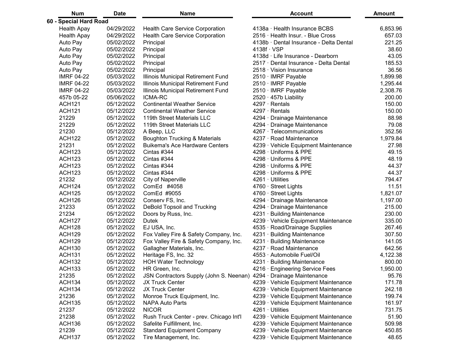| <b>Num</b>             | <b>Date</b> | <b>Name</b>                               | <b>Account</b>                          | <b>Amount</b> |
|------------------------|-------------|-------------------------------------------|-----------------------------------------|---------------|
| 60 - Special Hard Road |             |                                           |                                         |               |
| <b>Health Apay</b>     | 04/29/2022  | <b>Health Care Service Corporation</b>    | 4138a Health Insurance BCBS             | 6,853.96      |
| <b>Health Apay</b>     | 04/29/2022  | <b>Health Care Service Corporation</b>    | 2516 Health Insur. - Blue Cross         | 657.03        |
| Auto Pay               | 05/02/2022  | Principal                                 | 4138b · Dental Insurance - Delta Dental | 221.25        |
| Auto Pay               | 05/02/2022  | Principal                                 | $4138f \cdot VSP$                       | 38.60         |
| Auto Pay               | 05/02/2022  | Principal                                 | 4138d Life Insurance - Dearborn         | 43.05         |
| Auto Pay               | 05/02/2022  | Principal                                 | 2517 · Dental Insurance - Delta Dental  | 185.53        |
| Auto Pay               | 05/02/2022  | Principal                                 | 2518 Vision Insurance                   | 36.56         |
| <b>IMRF 04-22</b>      | 05/03/2022  | <b>Illinois Municipal Retirement Fund</b> | 2510 · IMRF Payable                     | 1,899.98      |
| <b>IMRF 04-22</b>      | 05/03/2022  | Illinois Municipal Retirement Fund        | 2510 · IMRF Payable                     | 1,295.44      |
| <b>IMRF 04-22</b>      | 05/03/2022  | Illinois Municipal Retirement Fund        | 2510 · IMRF Payable                     | 2,308.76      |
| 457b 05-22             | 05/06/2022  | <b>ICMA-RC</b>                            | 2520 457b Liability                     | 200.00        |
| <b>ACH121</b>          | 05/12/2022  | <b>Continental Weather Service</b>        | 4297 Rentals                            | 150.00        |
| <b>ACH121</b>          | 05/12/2022  | <b>Continental Weather Service</b>        | 4297 Rentals                            | 150.00        |
| 21229                  | 05/12/2022  | 119th Street Materials LLC                | 4294 Drainage Maintenance               | 88.98         |
| 21229                  | 05/12/2022  | 119th Street Materials LLC                | 4294 Drainage Maintenance               | 79.08         |
| 21230                  | 05/12/2022  | A Beep, LLC                               | 4267 Telecommunications                 | 352.56        |
| <b>ACH122</b>          | 05/12/2022  | <b>Boughton Trucking &amp; Materials</b>  | 4237 Road Maintenance                   | 1,979.84      |
| 21231                  | 05/12/2022  | <b>Buikema's Ace Hardware Centers</b>     | 4239 Vehicle Equipment Maintenance      | 27.98         |
| <b>ACH123</b>          | 05/12/2022  | Cintas #344                               | 4298 Uniforms & PPE                     | 49.15         |
| <b>ACH123</b>          | 05/12/2022  | Cintas #344                               | 4298 · Uniforms & PPE                   | 48.19         |
| <b>ACH123</b>          | 05/12/2022  | Cintas #344                               | 4298 Uniforms & PPE                     | 44.37         |
| <b>ACH123</b>          | 05/12/2022  | Cintas #344                               | 4298 · Uniforms & PPE                   | 44.37         |
| 21232                  | 05/12/2022  | <b>City of Naperville</b>                 | 4261 Utilities                          | 794.47        |
| <b>ACH124</b>          | 05/12/2022  | ComEd #4058                               | 4760 · Street Lights                    | 11.51         |
| <b>ACH125</b>          | 05/12/2022  | ComEd #9055                               | 4760 Street Lights                      | 1,821.07      |
| <b>ACH126</b>          | 05/12/2022  | Conserv FS, Inc.                          | 4294 Drainage Maintenance               | 1,197.00      |
| 21233                  | 05/12/2022  | <b>DeBold Topsoil and Trucking</b>        | 4294 Drainage Maintenance               | 215.00        |
| 21234                  | 05/12/2022  | Doors by Russ, Inc.                       | 4231 Building Maintenance               | 230.00        |
| <b>ACH127</b>          | 05/12/2022  | <b>Dutek</b>                              | 4239 Vehicle Equipment Maintenance      | 335.00        |
| <b>ACH128</b>          | 05/12/2022  | EJ USA, Inc.                              | 4535 Road/Drainage Supplies             | 267.46        |
| <b>ACH129</b>          | 05/12/2022  | Fox Valley Fire & Safety Company, Inc.    | 4231 · Building Maintenance             | 307.50        |
| <b>ACH129</b>          | 05/12/2022  | Fox Valley Fire & Safety Company, Inc.    | 4231 Building Maintenance               | 141.05        |
| <b>ACH130</b>          | 05/12/2022  | Gallagher Materials, Inc.                 | 4237 Road Maintenance                   | 642.56        |
| <b>ACH131</b>          | 05/12/2022  | Heritage FS, Inc. 32                      | 4553 · Automobile Fuel/Oil              | 4,122.38      |
| <b>ACH132</b>          | 05/12/2022  | <b>HOH Water Technology</b>               | 4231 Building Maintenance               | 800.00        |
| <b>ACH133</b>          | 05/12/2022  | HR Green, Inc.                            | 4216 Engineering Service Fees           | 1,950.00      |
| 21235                  | 05/12/2022  | JSN Contractors Supply (John S. Neenan)   | 4294 Drainage Maintenance               | 95.76         |
| <b>ACH134</b>          | 05/12/2022  | <b>JX Truck Center</b>                    | 4239 · Vehicle Equipment Maintenance    | 171.78        |
| <b>ACH134</b>          | 05/12/2022  | <b>JX Truck Center</b>                    | 4239 Vehicle Equipment Maintenance      | 242.18        |
| 21236                  | 05/12/2022  | Monroe Truck Equipment, Inc.              | 4239 Vehicle Equipment Maintenance      | 199.74        |
| <b>ACH135</b>          | 05/12/2022  | <b>NAPA Auto Parts</b>                    | 4239 · Vehicle Equipment Maintenance    | 161.97        |
| 21237                  | 05/12/2022  | <b>NICOR</b>                              | 4261 Utilities                          | 731.75        |
| 21238                  | 05/12/2022  | Rush Truck Center - prev. Chicago Int'l   | 4239 Vehicle Equipment Maintenance      | 51.90         |
| <b>ACH136</b>          | 05/12/2022  | Safelite Fulfillment, Inc.                | 4239 Vehicle Equipment Maintenance      | 509.98        |
| 21239                  | 05/12/2022  | <b>Standard Equipment Company</b>         | 4239 Vehicle Equipment Maintenance      | 450.85        |
| <b>ACH137</b>          | 05/12/2022  | Tire Management, Inc.                     | 4239 Vehicle Equipment Maintenance      | 48.65         |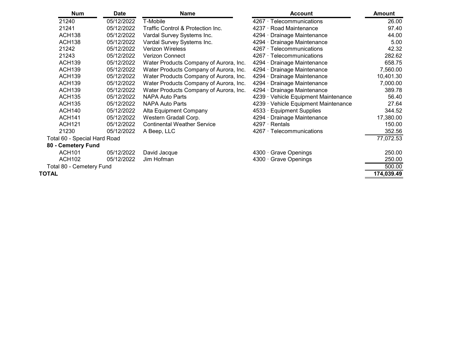| <b>Num</b>                      | <b>Date</b> | <b>Name</b>                                  | <b>Account</b>                     | <b>Amount</b> |
|---------------------------------|-------------|----------------------------------------------|------------------------------------|---------------|
| 21240                           | 05/12/2022  | T-Mobile                                     | 4267 Telecommunications            | 26.00         |
| 21241                           | 05/12/2022  | <b>Traffic Control &amp; Protection Inc.</b> | 4237 Road Maintenance              | 97.40         |
| <b>ACH138</b>                   | 05/12/2022  | Vardal Survey Systems Inc.                   | 4294 Drainage Maintenance          | 44.00         |
| <b>ACH138</b>                   | 05/12/2022  | Vardal Survey Systems Inc.                   | 4294 Drainage Maintenance          | 5.00          |
| 21242                           | 05/12/2022  | <b>Verizon Wireless</b>                      | 4267 Telecommunications            | 42.32         |
| 21243                           | 05/12/2022  | <b>Verizon Connect</b>                       | 4267 · Telecommunications          | 282.62        |
| <b>ACH139</b>                   | 05/12/2022  | Water Products Company of Aurora, Inc.       | 4294 Drainage Maintenance          | 658.75        |
| <b>ACH139</b>                   | 05/12/2022  | Water Products Company of Aurora, Inc.       | 4294 Drainage Maintenance          | 7,560.00      |
| <b>ACH139</b>                   | 05/12/2022  | Water Products Company of Aurora, Inc.       | 4294 · Drainage Maintenance        | 10,401.30     |
| <b>ACH139</b>                   | 05/12/2022  | Water Products Company of Aurora, Inc.       | 4294 Drainage Maintenance          | 7,000.00      |
| <b>ACH139</b>                   | 05/12/2022  | Water Products Company of Aurora, Inc.       | 4294 Drainage Maintenance          | 389.78        |
| <b>ACH135</b>                   | 05/12/2022  | <b>NAPA Auto Parts</b>                       | 4239 Vehicle Equipment Maintenance | 56.40         |
| <b>ACH135</b>                   | 05/12/2022  | <b>NAPA Auto Parts</b>                       | 4239 Vehicle Equipment Maintenance | 27.64         |
| <b>ACH140</b>                   | 05/12/2022  | <b>Alta Equipment Company</b>                | 4533 · Equipment Supplies          | 344.52        |
| <b>ACH141</b>                   | 05/12/2022  | Western Gradall Corp.                        | 4294 Drainage Maintenance          | 17,380.00     |
| <b>ACH121</b>                   | 05/12/2022  | <b>Continental Weather Service</b>           | 4297 Rentals                       | 150.00        |
| 21230                           | 05/12/2022  | A Beep, LLC                                  | 4267 Telecommunications            | 352.56        |
| Total 60 - Special Hard Road    |             |                                              |                                    | 77,072.53     |
| 80 - Cemetery Fund              |             |                                              |                                    |               |
| <b>ACH101</b>                   | 05/12/2022  | David Jacque                                 | 4300 Grave Openings                | 250.00        |
| <b>ACH102</b>                   | 05/12/2022  | Jim Hofman                                   | 4300 Grave Openings                | 250.00        |
| <b>Total 80 - Cemetery Fund</b> |             |                                              |                                    | 500.00        |
| TOTAL                           |             |                                              |                                    | 174,039.49    |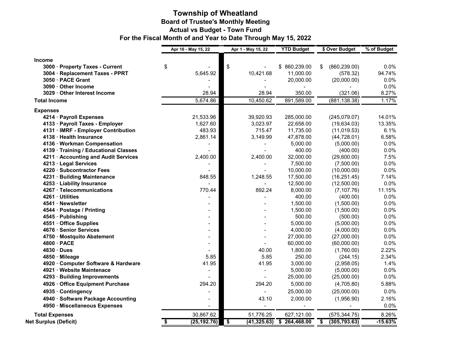### **Township of Wheatland Board of Trustee's Monthly Meeting Actual vs Budget - Town Fund For the Fiscal Month of and Year to Date Through May 15, 2022**

|                                       | Apr 16 - May 15, 22 | Apr 1 - May 15, 22         | <b>YTD Budget</b> | \$ Over Budget      | % of Budget |
|---------------------------------------|---------------------|----------------------------|-------------------|---------------------|-------------|
| <b>Income</b>                         |                     |                            |                   |                     |             |
| 3000 · Property Taxes - Current       | \$                  | \$                         | \$860,239.00      | (860, 239.00)<br>\$ | 0.0%        |
| 3004 · Replacement Taxes - PPRT       | 5,645.92            | 10,421.68                  | 11,000.00         | (578.32)            | 94.74%      |
| 3050 · PACE Grant                     |                     |                            | 20,000.00         | (20,000.00)         | 0.0%        |
| 3090 · Other Income                   |                     |                            |                   |                     | 0.0%        |
| 3029 · Other Interest Income          | 28.94               | 28.94                      | 350.00            | (321.06)            | 8.27%       |
| <b>Total Income</b>                   | 5,674.86            | 10,450.62                  | 891,589.00        | (881, 138.38)       | 1.17%       |
| <b>Expenses</b>                       |                     |                            |                   |                     |             |
| 4214 · Payroll Expenses               | 21,533.96           | 39,920.93                  | 285,000.00        | (245,079.07)        | 14.01%      |
| 4133 · Payroll Taxes - Employer       | 1,627.60            | 3,023.97                   | 22,658.00         | (19, 634.03)        | 13.35%      |
| 4131 · IMRF - Employer Contribution   | 483.93              | 715.47                     | 11,735.00         | (11, 019.53)        | 6.1%        |
| 4138 · Health Insurance               | 2,861.14            | 3,149.99                   | 47,878.00         | (44, 728.01)        | 6.58%       |
| 4136 · Workman Compensation           |                     | $\blacksquare$             | 5,000.00          | (5,000.00)          | 0.0%        |
| 4139 · Training / Educational Classes |                     |                            | 400.00            | (400.00)            | 0.0%        |
| 4211 · Accounting and Audit Services  | 2,400.00            | 2,400.00                   | 32,000.00         | (29,600.00)         | 7.5%        |
| 4213 · Legal Services                 |                     |                            | 7,500.00          | (7,500.00)          | 0.0%        |
| 4220 · Subcontractor Fees             |                     |                            | 10,000.00         | (10,000.00)         | 0.0%        |
| 4231 · Building Maintenance           | 848.55              | 1,248.55                   | 17,500.00         | (16, 251.45)        | 7.14%       |
| 4253 · Liability Insurance            |                     |                            | 12,500.00         | (12,500.00)         | 0.0%        |
| 4267 · Telecommunications             | 770.44              | 892.24                     | 8,000.00          | (7, 107.76)         | 11.15%      |
| 4261 · Utilities                      |                     |                            | 400.00            | (400.00)            | 0.0%        |
| 4541 · Newsletter                     |                     |                            | 1,500.00          | (1,500.00)          | 0.0%        |
| 4544 · Postage / Printing             |                     |                            | 1,500.00          | (1,500.00)          | 0.0%        |
| 4545 · Publishing                     |                     |                            | 500.00            | (500.00)            | 0.0%        |
| 4551 · Office Supplies                |                     |                            | 5,000.00          | (5,000.00)          | 0.0%        |
| 4676 · Senior Services                |                     |                            | 4,000.00          | (4,000.00)          | 0.0%        |
| 4750 · Mostquito Abatement            |                     |                            | 27,000.00         | (27,000.00)         | 0.0%        |
| 4800 · PACE                           |                     |                            | 60,000.00         | (60,000.00)         | 0.0%        |
| 4830 · Dues                           |                     | 40.00                      | 1,800.00          | (1,760.00)          | 2.22%       |
| 4850 · Mileage                        | 5.85                | 5.85                       | 250.00            | (244.15)            | 2.34%       |
| 4920 · Computer Software & Hardware   | 41.95               | 41.95                      | 3,000.00          | (2,958.05)          | 1.4%        |
| 4921 · Website Maintenace             |                     | $\blacksquare$             | 5,000.00          | (5,000.00)          | 0.0%        |
| 4293 · Building Improvements          |                     | $\blacksquare$             | 25,000.00         | (25,000.00)         | 0.0%        |
| 4926 · Office Equipment Purchase      | 294.20              | 294.20                     | 5,000.00          | (4,705.80)          | 5.88%       |
| 4935 · Contingency                    |                     |                            | 25,000.00         | (25,000.00)         | 0.0%        |
| 4940 · Software Package Accounting    |                     | 43.10                      | 2,000.00          | (1,956.90)          | 2.16%       |
| 4950 · Miscellaneous Expenses         |                     | $\blacksquare$             | $\blacksquare$    | $\blacksquare$      | 0.0%        |
| <b>Total Expenses</b>                 | 30,867.62           | 51,776.25                  | 627,121.00        | (575, 344.75)       | 8.26%       |
| <b>Net Surplus (Deficit)</b>          | \$<br>(25, 192.76)  | $\sqrt{2}$<br>(41, 325.63) | \$264,468.00      | (305, 793.63)<br>\$ | $-15.63%$   |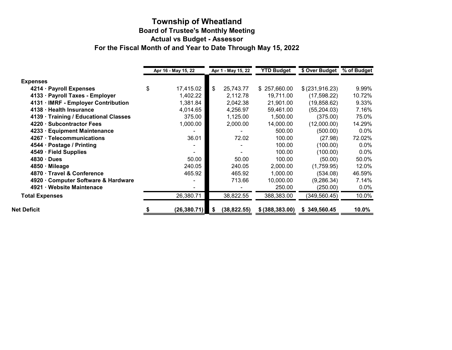### **Township of Wheatland Board of Trustee's Monthly Meeting Actual vs Budget - Assessor For the Fiscal Month of and Year to Date Through May 15, 2022**

|                                       | <b>YTD Budget</b><br>\$ Over Budget<br>Apr 16 - May 15, 22<br>Apr 1 - May 15, 22 |      | % of Budget  |                  |                  |         |
|---------------------------------------|----------------------------------------------------------------------------------|------|--------------|------------------|------------------|---------|
|                                       |                                                                                  |      |              |                  |                  |         |
| <b>Expenses</b>                       |                                                                                  |      |              |                  |                  |         |
| 4214 · Payroll Expenses               | \$<br>17,415.02                                                                  | \$   | 25,743.77    | \$257,660.00     | \$ (231, 916.23) | 9.99%   |
| 4133 · Payroll Taxes - Employer       | 1,402.22                                                                         |      | 2,112.78     | 19,711.00        | (17, 598.22)     | 10.72%  |
| 4131 · IMRF - Employer Contribution   | 1,381.84                                                                         |      | 2,042.38     | 21,901.00        | (19, 858.62)     | 9.33%   |
| 4138 · Health Insurance               | 4,014.65                                                                         |      | 4,256.97     | 59,461.00        | (55, 204.03)     | 7.16%   |
| 4139 · Training / Educational Classes | 375.00                                                                           |      | 1,125.00     | 1,500.00         | (375.00)         | 75.0%   |
| 4220 · Subcontractor Fees             | 1,000.00                                                                         |      | 2,000.00     | 14,000.00        | (12,000.00)      | 14.29%  |
| 4233 · Equipment Maintenance          |                                                                                  |      |              | 500.00           | (500.00)         | $0.0\%$ |
| 4267 · Telecommunications             | 36.01                                                                            |      | 72.02        | 100.00           | (27.98)          | 72.02%  |
| 4544 · Postage / Printing             |                                                                                  |      |              | 100.00           | (100.00)         | $0.0\%$ |
| 4549 · Field Supplies                 |                                                                                  |      |              | 100.00           | (100.00)         | $0.0\%$ |
| $4830 \cdot$ Dues                     | 50.00                                                                            |      | 50.00        | 100.00           | (50.00)          | 50.0%   |
| 4850 · Mileage                        | 240.05                                                                           |      | 240.05       | 2,000.00         | (1,759.95)       | 12.0%   |
| 4870 · Travel & Conference            | 465.92                                                                           |      | 465.92       | 1,000.00         | (534.08)         | 46.59%  |
| 4920 Computer Software & Hardware     |                                                                                  |      | 713.66       | 10,000.00        | (9, 286.34)      | 7.14%   |
| 4921 · Website Maintenace             |                                                                                  |      |              | 250.00           | (250.00)         | 0.0%    |
| <b>Total Expenses</b>                 | 26,380.71                                                                        |      | 38,822.55    | 388,383.00       | (349, 560.45)    | 10.0%   |
| <b>Net Deficit</b>                    | (26, 380.71)                                                                     | - \$ | (38, 822.55) | \$ (388, 383.00) | \$349,560.45     | 10.0%   |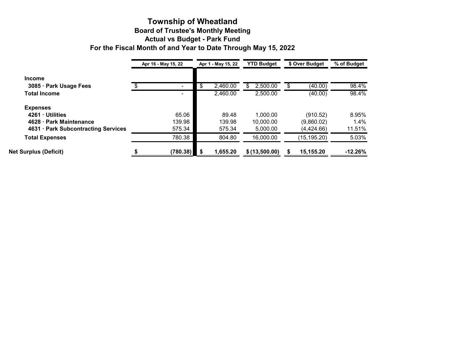#### **Township of Wheatland Board of Trustee's Monthly Meeting Actual vs Budget - Park Fund For the Fiscal Month of and Year to Date Through May 15, 2022**

|                                     | Apr 16 - May 15, 22 | Apr 1 - May 15, 22 | <b>YTD Budget</b> | \$ Over Budget | % of Budget |
|-------------------------------------|---------------------|--------------------|-------------------|----------------|-------------|
| <b>Income</b>                       |                     |                    |                   |                |             |
| 3085 · Park Usage Fees              |                     | \$<br>2,460.00     | 2,500.00          | (40.00)        | 98.4%       |
| <b>Total Income</b>                 |                     | 2,460.00           | 2,500.00          | (40.00)        | 98.4%       |
| <b>Expenses</b>                     |                     |                    |                   |                |             |
| 4261 · Utilities                    | 65.06               | 89.48              | 1,000.00          | (910.52)       | 8.95%       |
| 4628 · Park Maintenance             | 139.98              | 139.98             | 10,000.00         | (9,860.02)     | 1.4%        |
| 4631 · Park Subcontracting Services | 575.34              | 575.34             | 5,000.00          | (4,424.66)     | 11.51%      |
| <b>Total Expenses</b>               | 780.38              | 804.80             | 16,000.00         | (15, 195.20)   | 5.03%       |
| <b>Net Surplus (Deficit)</b>        | (780.38)            | 1,655.20           | \$(13,500.00)     | 15,155.20      | $-12.26%$   |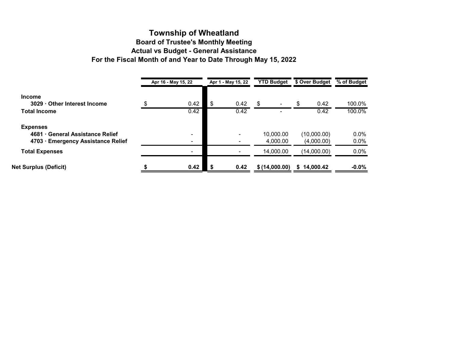### **Township of Wheatland Board of Trustee's Monthly Meeting Actual vs Budget - General Assistance For the Fiscal Month of and Year to Date Through May 15, 2022**

|                                                                                         | Apr 16 - May 15, 22      |     | Apr 1 - May 15, 22 | <b>YTD Budget</b>     | \$ Over Budget            | % of Budget        |
|-----------------------------------------------------------------------------------------|--------------------------|-----|--------------------|-----------------------|---------------------------|--------------------|
| <b>Income</b><br>3029 Other Interest Income                                             | \$<br>0.42               | \$  | 0.42               | \$.                   | \$<br>0.42                | 100.0%             |
| <b>Total Income</b>                                                                     | 0.42                     |     | 0.42               |                       | 0.42                      | 100.0%             |
| <b>Expenses</b><br>4681 General Assistance Relief<br>4703 · Emergency Assistance Relief | $\overline{\phantom{0}}$ |     |                    | 10,000.00<br>4,000.00 | (10,000.00)<br>(4,000.00) | $0.0\%$<br>$0.0\%$ |
| <b>Total Expenses</b>                                                                   |                          |     |                    | 14,000.00             | (14,000.00)               | 0.0%               |
| <b>Net Surplus (Deficit)</b>                                                            | 0.42                     | ∣\$ | 0.42               | \$(14,000.00)         | 14,000.42<br>\$           | $-0.0%$            |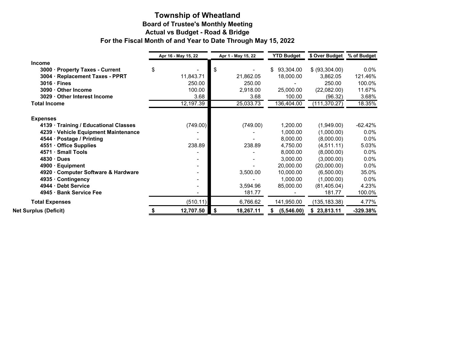# **Township of Wheatland Board of Trustee's Monthly Meeting Actual vs Budget - Road & Bridge For the Fiscal Month of and Year to Date Through May 15, 2022**

|                                             |    | Apr 16 - May 15, 22 |    | Apr 1 - May 15, 22 | <b>YTD Budget</b> | \$ Over Budget | % of Budget |  |
|---------------------------------------------|----|---------------------|----|--------------------|-------------------|----------------|-------------|--|
| <b>Income</b>                               |    |                     |    |                    |                   |                |             |  |
| 3000<br><b>Property Taxes - Current</b>     | \$ |                     | S  |                    | \$<br>93,304.00   | \$ (93,304.00) | $0.0\%$     |  |
| <b>Replacement Taxes - PPRT</b><br>$3004 -$ |    | 11,843.71           |    | 21,862.05          | 18,000.00         | 3,862.05       | 121.46%     |  |
| $3016 \cdot$ Fines                          |    | 250.00              |    | 250.00             |                   | 250.00         | 100.0%      |  |
| 3090 · Other Income                         |    | 100.00              |    | 2,918.00           | 25,000.00         | (22,082.00)    | 11.67%      |  |
| 3029 · Other Interest Income                |    | 3.68                |    | 3.68               | 100.00            | (96.32)        | 3.68%       |  |
| <b>Total Income</b>                         |    | 12,197.39           |    | 25,033.73          | 136,404.00        | (111, 370.27)  | 18.35%      |  |
| <b>Expenses</b>                             |    |                     |    |                    |                   |                |             |  |
| 4139 · Training / Educational Classes       |    | (749.00)            |    | (749.00)           | 1,200.00          | (1,949.00)     | $-62.42%$   |  |
| 4239 · Vehicle Equipment Maintenance        |    |                     |    |                    | 1,000.00          | (1,000.00)     | 0.0%        |  |
| 4544 · Postage / Printing                   |    |                     |    |                    | 8,000.00          | (8,000.00)     | 0.0%        |  |
| 4551 · Office Supplies                      |    | 238.89              |    | 238.89             | 4,750.00          | (4,511.11)     | 5.03%       |  |
| 4571 · Small Tools                          |    |                     |    |                    | 8,000.00          | (8,000.00)     | 0.0%        |  |
| 4830 · Dues                                 |    |                     |    |                    | 3,000.00          | (3,000.00)     | 0.0%        |  |
| 4900 · Equipment                            |    | $\blacksquare$      |    |                    | 20,000.00         | (20,000.00)    | 0.0%        |  |
| 4920 · Computer Software & Hardware         |    |                     |    | 3,500.00           | 10,000.00         | (6,500.00)     | 35.0%       |  |
| 4935 · Contingency                          |    |                     |    |                    | 1,000.00          | (1,000.00)     | 0.0%        |  |
| 4944 · Debt Service                         |    |                     |    | 3,594.96           | 85,000.00         | (81, 405.04)   | 4.23%       |  |
| 4945 · Bank Service Fee                     |    |                     |    | 181.77             |                   | 181.77         | 100.0%      |  |
| <b>Total Expenses</b>                       |    | (510.11)            |    | 6,766.62           | 141,950.00        | (135, 183.38)  | 4.77%       |  |
| <b>Net Surplus (Deficit)</b>                |    | 12,707.50           | \$ | 18,267.11          | (5,546.00)        | \$23,813.11    | -329.38%    |  |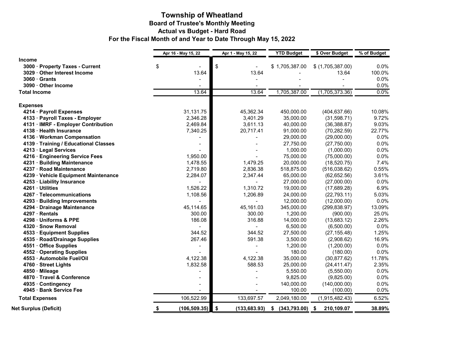### **Township of Wheatland Board of Trustee's Monthly Meeting Actual vs Budget - Hard Road For the Fiscal Month of and Year to Date Through May 15, 2022**

|                                       | Apr 16 - May 15, 22 |               | Apr 1 - May 15, 22  | <b>YTD Budget</b>  | \$ Over Budget     | % of Budget |  |
|---------------------------------------|---------------------|---------------|---------------------|--------------------|--------------------|-------------|--|
| <b>Income</b>                         |                     |               |                     |                    |                    |             |  |
| 3000 · Property Taxes - Current       | \$                  |               | \$                  | \$1,705,387.00     | $$$ (1,705,387.00) | 0.0%        |  |
| 3029 · Other Interest Income          |                     | 13.64         | 13.64               |                    | 13.64              | 100.0%      |  |
| $3060 \cdot$ Grants                   |                     |               |                     |                    |                    | 0.0%        |  |
| 3090 · Other Income                   |                     |               |                     |                    |                    | 0.0%        |  |
| <b>Total Income</b>                   |                     | 13.64         | 13.64               | 1,705,387.00       | (1,705,373.36)     | 0.0%        |  |
| <b>Expenses</b>                       |                     |               |                     |                    |                    |             |  |
| 4214 · Payroll Expenses               |                     | 31,131.75     | 45,362.34           | 450,000.00         | (404, 637.66)      | 10.08%      |  |
| 4133 · Payroll Taxes - Employer       |                     | 2,346.28      | 3,401.29            | 35,000.00          | (31,598.71)        | 9.72%       |  |
| 4131 · IMRF - Employer Contribution   |                     | 2,469.84      | 3,611.13            | 40,000.00          | (36, 388.87)       | 9.03%       |  |
| 4138 · Health Insurance               |                     | 7,340.25      | 20,717.41           | 91,000.00          | (70, 282.59)       | 22.77%      |  |
| 4136 · Workman Compensation           |                     |               |                     | 29,000.00          | (29,000.00)        | 0.0%        |  |
| 4139 · Training / Educational Classes |                     |               |                     | 27,750.00          | (27,750.00)        | 0.0%        |  |
| 4213 · Legal Services                 |                     |               |                     | 1,000.00           | (1,000.00)         | 0.0%        |  |
| 4216 · Engineering Service Fees       |                     | 1,950.00      |                     | 75,000.00          | (75,000.00)        | 0.0%        |  |
| 4231 · Building Maintenance           |                     | 1,478.55      | 1,479.25            | 20,000.00          | (18, 520.75)       | 7.4%        |  |
| 4237 · Road Maintenance               |                     | 2,719.80      | 2,836.38            | 518,875.00         | (516,038.62)       | 0.55%       |  |
| 4239 · Vehicle Equipment Maintenance  |                     | 2,284.07      | 2,347.44            | 65,000.00          | (62, 652.56)       | 3.61%       |  |
| 4253 · Liability Insurance            |                     |               |                     | 27,000.00          | (27,000.00)        | 0.0%        |  |
| 4261 · Utilities                      |                     | 1,526.22      | 1,310.72            | 19,000.00          | (17,689.28)        | 6.9%        |  |
| 4267 · Telecommunications             |                     | 1,108.56      | 1,206.89            | 24,000.00          | (22, 793.11)       | 5.03%       |  |
| 4293 · Building Improvements          |                     |               |                     | 12,000.00          | (12,000.00)        | 0.0%        |  |
| 4294 · Drainage Maintenance           |                     | 45,114.65     | 45,161.03           | 345,000.00         | (299, 838.97)      | 13.09%      |  |
| 4297 · Rentals                        |                     | 300.00        | 300.00              | 1,200.00           | (900.00)           | 25.0%       |  |
| 4298 · Uniforms & PPE                 |                     | 186.08        | 316.88              | 14,000.00          | (13,683.12)        | 2.26%       |  |
| 4320 · Snow Removal                   |                     |               |                     | 6,500.00           | (6,500.00)         | 0.0%        |  |
| 4533 · Equipment Supplies             |                     | 344.52        | 344.52              | 27,500.00          | (27, 155.48)       | 1.25%       |  |
| 4535 · Road/Drainage Supplies         |                     | 267.46        | 591.38              | 3,500.00           | (2,908.62)         | 16.9%       |  |
| 4551 · Office Supplies                |                     |               |                     | 1,200.00           | (1,200.00)         | 0.0%        |  |
| 4552 Operating Supplies               |                     |               |                     | 180.00             | (180.00)           | 0.0%        |  |
| 4553 · Automobile Fuel/Oil            |                     | 4,122.38      | 4,122.38            | 35,000.00          | (30, 877.62)       | 11.78%      |  |
| 4760 · Street Lights                  |                     | 1,832.58      | 588.53              | 25,000.00          | (24, 411.47)       | 2.35%       |  |
| 4850 · Mileage                        |                     |               |                     | 5,550.00           | (5,550.00)         | 0.0%        |  |
| 4870 · Travel & Conference            |                     |               |                     | 9,825.00           | (9,825.00)         | 0.0%        |  |
| 4935 · Contingency                    |                     |               |                     | 140,000.00         | (140,000.00)       | 0.0%        |  |
| 4945 · Bank Service Fee               |                     |               |                     | 100.00             | (100.00)           | 0.0%        |  |
| <b>Total Expenses</b>                 |                     | 106,522.99    | 133,697.57          | 2,049,180.00       | (1,915,482.43)     | 6.52%       |  |
| <b>Net Surplus (Deficit)</b>          | \$                  | (106, 509.35) | \$<br>(133, 683.93) | \$<br>(343,793.00) | \$<br>210,109.07   | 38.89%      |  |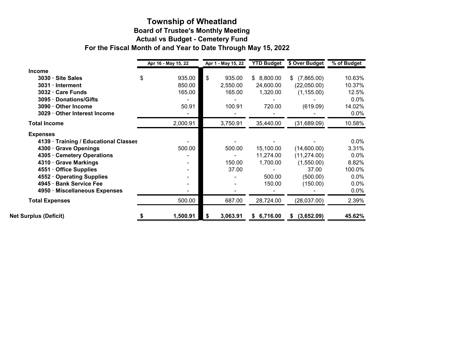### **Board of Trustee's Monthly Meeting Actual vs Budget - Cemetery Fund Township of Wheatland For the Fiscal Month of and Year to Date Through May 15, 2022**

|                                       | Apr 16 - May 15, 22 | Apr 1 - May 15, 22 | <b>YTD Budget</b> | \$ Over Budget   | % of Budget |
|---------------------------------------|---------------------|--------------------|-------------------|------------------|-------------|
| <b>Income</b>                         |                     |                    |                   |                  |             |
| 3030 · Site Sales                     | \$<br>935.00        | \$<br>935.00       | \$8,800.00        | (7,865.00)<br>\$ | 10.63%      |
| 3031 · Interment                      | 850.00              | 2,550.00           | 24,600.00         | (22,050.00)      | 10.37%      |
| 3032 · Care Funds                     | 165.00              | 165.00             | 1,320.00          | (1, 155.00)      | 12.5%       |
| 3095 · Donations/Gifts                |                     |                    |                   |                  | $0.0\%$     |
| 3090 · Other Income                   | 50.91               | 100.91             | 720.00            | (619.09)         | 14.02%      |
| 3029 · Other Interest Income          |                     |                    |                   |                  | $0.0\%$     |
| <b>Total Income</b>                   | 2,000.91            | 3,750.91           | 35,440.00         | (31,689.09)      | 10.58%      |
| <b>Expenses</b>                       |                     |                    |                   |                  |             |
| 4139 · Training / Educational Classes |                     |                    |                   |                  | $0.0\%$     |
| 4300 · Grave Openings                 | 500.00              | 500.00             | 15,100.00         | (14,600.00)      | 3.31%       |
| 4305 · Cemetery Operations            |                     |                    | 11,274.00         | (11, 274.00)     | $0.0\%$     |
| 4310 · Grave Markings                 |                     | 150.00             | 1,700.00          | (1,550.00)       | 8.82%       |
| 4551 · Office Supplies                |                     | 37.00              |                   | 37.00            | 100.0%      |
| 4552 Operating Supplies               |                     |                    | 500.00            | (500.00)         | 0.0%        |
| 4945 · Bank Service Fee               |                     |                    | 150.00            | (150.00)         | $0.0\%$     |
| 4950 · Miscellaneous Expenses         |                     |                    |                   |                  | $0.0\%$     |
| <b>Total Expenses</b>                 | 500.00              | 687.00             | 28,724.00         | (28,037.00)      | 2.39%       |
| <b>Net Surplus (Deficit)</b>          | 1,500.91            | 3,063.91           | \$6,716.00        | (3,652.09)<br>S. | 45.62%      |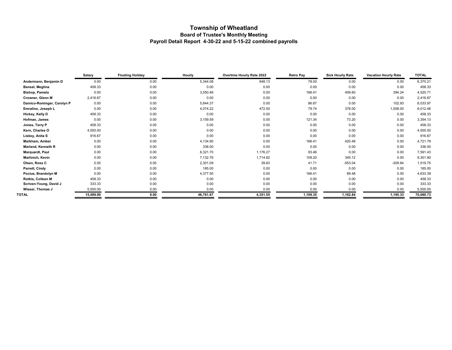# **Township of Wheatland Board of Trustee's Monthly Meeting Payroll Detail Report 4-30-22 and 5-15-22 combined payrolls**

| <b>Salary</b> | <b>Floating Holiday</b> | Hourly    | <b>Overtime Hourly Rate 2022</b> | <b>Retro Pay</b> | <b>Sick Hourly Rate</b> | <b>Vacation Hourly Rate</b> | <b>TOTAL</b> |
|---------------|-------------------------|-----------|----------------------------------|------------------|-------------------------|-----------------------------|--------------|
| 0.00          | 0.00                    | 5,344.08  | 948.13                           | 78.00            | 0.00                    | 0.00                        | 6,370.21     |
| 458.33        | 0.00                    | 0.00      | 0.00                             | 0.00             | 0.00                    | 0.00                        | 458.33       |
| 0.00          | 0.00                    | 3,550.46  | 0.00                             | 166.41           | 409.60                  | 394.24                      | 4,520.71     |
| 2,416.67      | 0.00                    | 0.00      | 0.00                             | 0.00             | 0.00                    | 0.00                        | 2,416.67     |
| 0.00          | 0.00                    | 5,844.37  | 0.00                             | 86.67            | 0.00                    | 102.93                      | 6,033.97     |
| 0.00          | 0.00                    | 4,074.22  | 472.50                           | 79.74            | 378.00                  | 1,008.00                    | 6,012.46     |
| 458.33        | 0.00                    | 0.00      | 0.00                             | 0.00             | 0.00                    | 0.00                        | 458.33       |
| 0.00          | 0.00                    | 3,159.59  | 0.00                             | 121.34           | 73.20                   | 0.00                        | 3,354.13     |
| 458.33        | 0.00                    | 0.00      | 0.00                             | 0.00             | 0.00                    | 0.00                        | 458.33       |
| 4,500.00      | 0.00                    | 0.00      | 0.00                             | 0.00             | 0.00                    | 0.00                        | 4,500.00     |
| 916.67        | 0.00                    | 0.00      | 0.00                             | 0.00             | 0.00                    | 0.00                        | 916.67       |
| 0.00          | 0.00                    | 4,134.90  | 0.00                             | 166.41           | 420.48                  | 0.00                        | 4,721.79     |
| 0.00          | 0.00                    | 336.00    | 0.00                             | 0.00             | 0.00                    | 0.00                        | 336.00       |
| 0.00          | 0.00                    | 6,321.70  | 1,176.27                         | 93.46            | 0.00                    | 0.00                        | 7,591.43     |
| 0.00          | 0.00                    | 7,132.76  | 1,714.82                         | 109.20           | 345.12                  | 0.00                        | 9,301.90     |
| 0.00          | 0.00                    | 2,301.09  | 39.83                            | 41.71            | $-553.04$               | $-309.84$                   | 1,519.75     |
| 0.00          | 0.00                    | 185.00    | 0.00                             | 0.00             | 0.00                    | 0.00                        | 185.00       |
| 0.00          | 0.00                    | 4,377.50  | 0.00                             | 166.41           | 89.48                   | 0.00                        | 4,633.39     |
| 458.33        | 0.00                    | 0.00      | 0.00                             | 0.00             | 0.00                    | 0.00                        | 458.33       |
| 333.33        | 0.00                    | 0.00      | 0.00                             | 0.00             | 0.00                    | 0.00                        | 333.33       |
| 5,500.00      | 0.00                    | 0.00      | 0.00                             | 0.00             | 0.00                    | 0.00                        | 5,500.00     |
| 15,499.99     | 0.00                    | 46,761.67 | 4,351.55                         | 1,109.35         | 1,162.84                | 1,195.33                    | 70,080.73    |
|               |                         |           |                                  |                  |                         |                             |              |